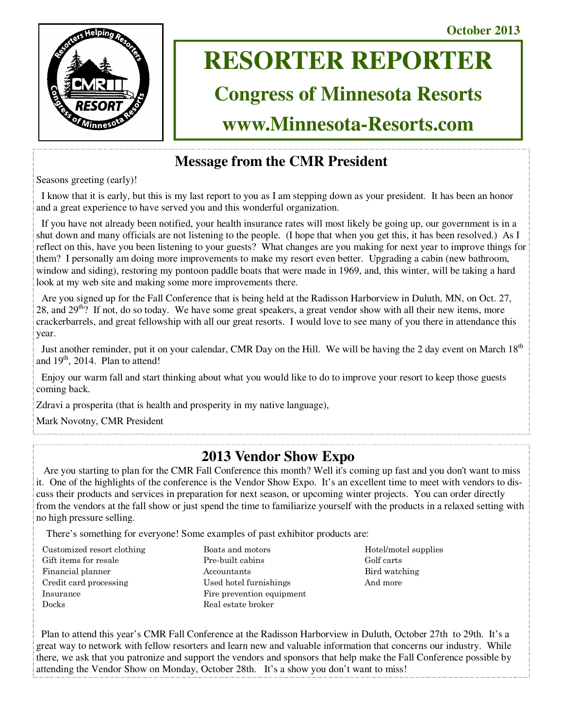**October 2013** 



# **RESORTER REPORTER**

# **Congress of Minnesota Resorts**

**www.Minnesota-Resorts.com** 

# **Message from the CMR President**

Seasons greeting (early)!

 I know that it is early, but this is my last report to you as I am stepping down as your president. It has been an honor and a great experience to have served you and this wonderful organization.

 If you have not already been notified, your health insurance rates will most likely be going up, our government is in a shut down and many officials are not listening to the people. (I hope that when you get this, it has been resolved.) As I reflect on this, have you been listening to your guests? What changes are you making for next year to improve things for them? I personally am doing more improvements to make my resort even better. Upgrading a cabin (new bathroom, window and siding), restoring my pontoon paddle boats that were made in 1969, and, this winter, will be taking a hard look at my web site and making some more improvements there.

 Are you signed up for the Fall Conference that is being held at the Radisson Harborview in Duluth, MN, on Oct. 27, 28, and  $29^{th}$ ? If not, do so today. We have some great speakers, a great vendor show with all their new items, more crackerbarrels, and great fellowship with all our great resorts. I would love to see many of you there in attendance this year.

Just another reminder, put it on your calendar, CMR Day on the Hill. We will be having the 2 day event on March 18<sup>th</sup> and  $19<sup>th</sup>$ , 2014. Plan to attend!

 Enjoy our warm fall and start thinking about what you would like to do to improve your resort to keep those guests coming back.

Zdravi a prosperita (that is health and prosperity in my native language),

Mark Novotny, CMR President

### **2013 Vendor Show Expo**

 Are you starting to plan for the CMR Fall Conference this month? Well it's coming up fast and you don't want to miss it. One of the highlights of the conference is the Vendor Show Expo. It's an excellent time to meet with vendors to discuss their products and services in preparation for next season, or upcoming winter projects. You can order directly from the vendors at the fall show or just spend the time to familiarize yourself with the products in a relaxed setting with no high pressure selling.

There's something for everyone! Some examples of past exhibitor products are:

- Customized resort clothing Gift items for resale Financial planner Credit card processing Insurance Docks
- Boats and motors Pre-built cabins Accountants Used hotel furnishings Fire prevention equipment Real estate broker
- Hotel/motel supplies Golf carts Bird watching And more

 Plan to attend this year's CMR Fall Conference at the Radisson Harborview in Duluth, October 27th to 29th. It's a great way to network with fellow resorters and learn new and valuable information that concerns our industry. While there, we ask that you patronize and support the vendors and sponsors that help make the Fall Conference possible by attending the Vendor Show on Monday, October 28th. It's a show you don't want to miss!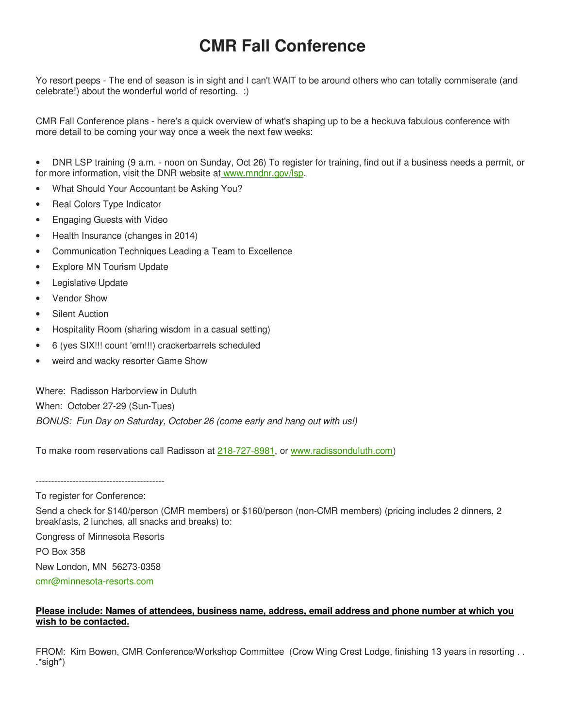# **CMR Fall Conference**

Yo resort peeps - The end of season is in sight and I can't WAIT to be around others who can totally commiserate (and celebrate!) about the wonderful world of resorting. :)

CMR Fall Conference plans - here's a quick overview of what's shaping up to be a heckuva fabulous conference with more detail to be coming your way once a week the next few weeks:

• DNR LSP training (9 a.m. - noon on Sunday, Oct 26) To register for training, find out if a business needs a permit, or for more information, visit the DNR website at www.mndnr.gov/lsp.

- What Should Your Accountant be Asking You?
- Real Colors Type Indicator
- Engaging Guests with Video
- Health Insurance (changes in 2014)
- Communication Techniques Leading a Team to Excellence
- **Explore MN Tourism Update**
- Legislative Update
- Vendor Show
- **Silent Auction**
- Hospitality Room (sharing wisdom in a casual setting)
- 6 (yes SIX!!! count 'em!!!) crackerbarrels scheduled
- weird and wacky resorter Game Show

Where: Radisson Harborview in Duluth When: October 27-29 (Sun-Tues)

BONUS: Fun Day on Saturday, October 26 (come early and hang out with us!)

To make room reservations call Radisson at 218-727-8981, or www.radissonduluth.com)

------------------------------------------

To register for Conference:

Send a check for \$140/person (CMR members) or \$160/person (non-CMR members) (pricing includes 2 dinners, 2 breakfasts, 2 lunches, all snacks and breaks) to:

Congress of Minnesota Resorts

PO Box 358

New London, MN 56273-0358

cmr@minnesota-resorts.com

#### **Please include: Names of attendees, business name, address, email address and phone number at which you wish to be contacted.**

FROM: Kim Bowen, CMR Conference/Workshop Committee (Crow Wing Crest Lodge, finishing 13 years in resorting . . .\*sigh\*)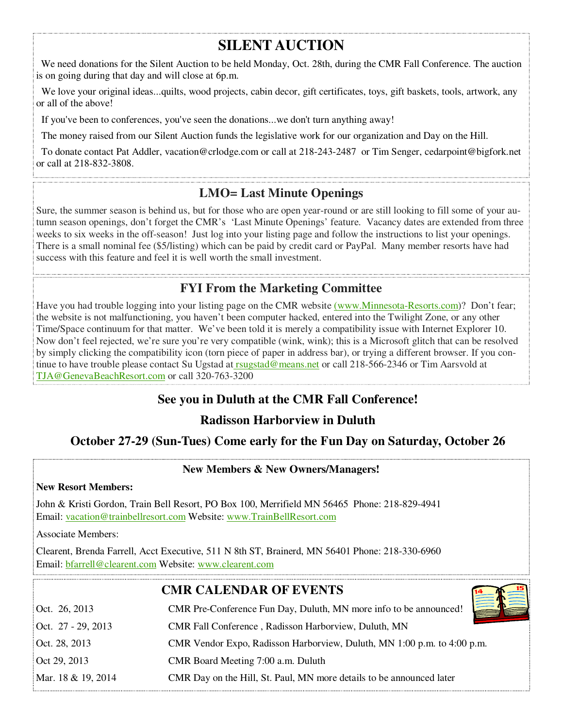# **SILENT AUCTION**

 We need donations for the Silent Auction to be held Monday, Oct. 28th, during the CMR Fall Conference. The auction is on going during that day and will close at 6p.m.

We love your original ideas...quilts, wood projects, cabin decor, gift certificates, toys, gift baskets, tools, artwork, any or all of the above!

If you've been to conferences, you've seen the donations...we don't turn anything away!

The money raised from our Silent Auction funds the legislative work for our organization and Day on the Hill.

 To donate contact Pat Addler, vacation@crlodge.com or call at 218-243-2487 or Tim Senger, cedarpoint@bigfork.net or call at 218-832-3808.

### **LMO= Last Minute Openings**

Sure, the summer season is behind us, but for those who are open year-round or are still looking to fill some of your autumn season openings, don't forget the CMR's 'Last Minute Openings' feature. Vacancy dates are extended from three weeks to six weeks in the off-season! Just log into your listing page and follow the instructions to list your openings. There is a small nominal fee (\$5/listing) which can be paid by credit card or PayPal. Many member resorts have had success with this feature and feel it is well worth the small investment.

**FYI From the Marketing Committee** 

Have you had trouble logging into your listing page on the CMR website (www.Minnesota-Resorts.com)? Don't fear; the website is not malfunctioning, you haven't been computer hacked, entered into the Twilight Zone, or any other Time/Space continuum for that matter. We've been told it is merely a compatibility issue with Internet Explorer 10. Now don't feel rejected, we're sure you're very compatible (wink, wink); this is a Microsoft glitch that can be resolved by simply clicking the compatibility icon (torn piece of paper in address bar), or trying a different browser. If you continue to have trouble please contact Su Ugstad at rsugstad@means.net or call 218-566-2346 or Tim Aarsvold at TJA@GenevaBeachResort.com or call 320-763-3200

### **See you in Duluth at the CMR Fall Conference!**

### **Radisson Harborview in Duluth**

### **October 27-29 (Sun-Tues) Come early for the Fun Day on Saturday, October 26**

### **New Members & New Owners/Managers!**

#### **New Resort Members:**

John & Kristi Gordon, Train Bell Resort, PO Box 100, Merrifield MN 56465 Phone: 218-829-4941 Email: vacation@trainbellresort.com Website: www.TrainBellResort.com

Associate Members:

Clearent, Brenda Farrell, Acct Executive, 511 N 8th ST, Brainerd, MN 56401 Phone: 218-330-6960 Email: bfarrell@clearent.com Website: www.clearent.com

**CMR CALENDAR OF EVENTS**

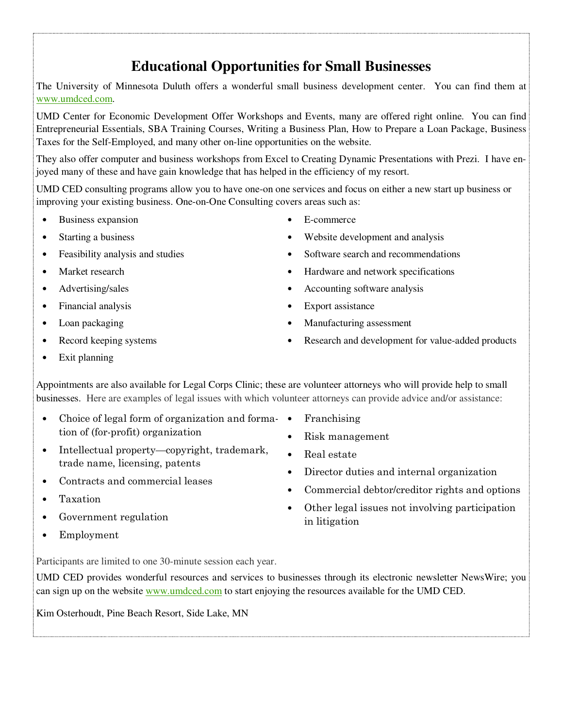## **Educational Opportunities for Small Businesses**

The University of Minnesota Duluth offers a wonderful small business development center. You can find them at www.umdced.com.

UMD Center for Economic Development Offer Workshops and Events, many are offered right online. You can find Entrepreneurial Essentials, SBA Training Courses, Writing a Business Plan, How to Prepare a Loan Package, Business Taxes for the Self-Employed, and many other on-line opportunities on the website.

They also offer computer and business workshops from Excel to Creating Dynamic Presentations with Prezi. I have enjoyed many of these and have gain knowledge that has helped in the efficiency of my resort.

UMD CED consulting programs allow you to have one-on one services and focus on either a new start up business or improving your existing business. One-on-One Consulting covers areas such as:

- Business expansion
- Starting a business
- Feasibility analysis and studies
- Market research
- Advertising/sales
- Financial analysis
- Loan packaging
- Record keeping systems
- Exit planning
- Appointments are also available for Legal Corps Clinic; these are volunteer attorneys who will provide help to small businesses. Here are examples of legal issues with which volunteer attorneys can provide advice and/or assistance:
- Choice of legal form of organization and forma- Franchising tion of (for-profit) organization
- Intellectual property—copyright, trademark, trade name, licensing, patents
- Contracts and commercial leases
- Taxation
- Government regulation
- Employment

Participants are limited to one 30-minute session each year.

UMD CED provides wonderful resources and services to businesses through its electronic newsletter NewsWire; you can sign up on the website www.umdced.com to start enjoying the resources available for the UMD CED.

Kim Osterhoudt, Pine Beach Resort, Side Lake, MN

- E-commerce
- Website development and analysis
- Software search and recommendations
- Hardware and network specifications
- Accounting software analysis
- Export assistance
- Manufacturing assessment
- Research and development for value-added products
- 
- Risk management
- Real estate
- Director duties and internal organization
- Commercial debtor/creditor rights and options
- Other legal issues not involving participation in litigation